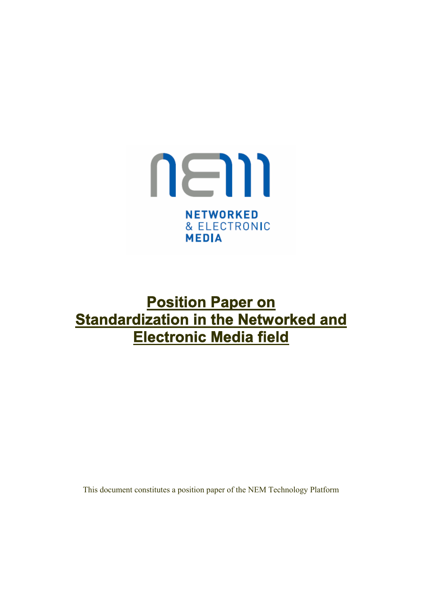

# **Position Paper on Standardization in the Networked and Electronic Media field**

This document constitutes a position paper of the NEM Technology Platform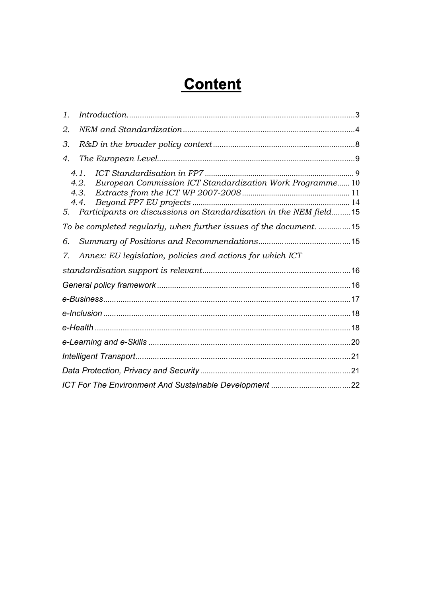# **Content**

| $\mathcal{I}$ .                                                  |                                                                                                                                                                   |  |  |
|------------------------------------------------------------------|-------------------------------------------------------------------------------------------------------------------------------------------------------------------|--|--|
| 2.                                                               |                                                                                                                                                                   |  |  |
| 3.                                                               |                                                                                                                                                                   |  |  |
| 4.                                                               |                                                                                                                                                                   |  |  |
|                                                                  | 4.1.<br>European Commission ICT Standardization Work Programme 10<br>4.2.<br>4.3.<br>4.4.<br>5. Participants on discussions on Standardization in the NEM field15 |  |  |
| To be completed regularly, when further issues of the document15 |                                                                                                                                                                   |  |  |
| 6.                                                               |                                                                                                                                                                   |  |  |
| 7.                                                               | Annex: EU legislation, policies and actions for which ICT                                                                                                         |  |  |
|                                                                  |                                                                                                                                                                   |  |  |
|                                                                  |                                                                                                                                                                   |  |  |
|                                                                  |                                                                                                                                                                   |  |  |
|                                                                  |                                                                                                                                                                   |  |  |
|                                                                  |                                                                                                                                                                   |  |  |
|                                                                  |                                                                                                                                                                   |  |  |
|                                                                  |                                                                                                                                                                   |  |  |
|                                                                  |                                                                                                                                                                   |  |  |
|                                                                  |                                                                                                                                                                   |  |  |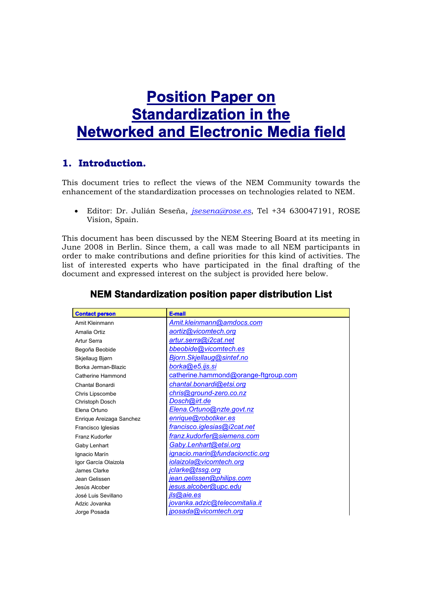# **Position Paper on Standardization in the Networked and Electronic Media field**

# **1. Introduction.**

This document tries to reflect the views of the NEM Community towards the enhancement of the standardization processes on technologies related to NEM.

 Editor: Dr. Julián Seseña, *jsesena@rose.es*, Tel +34 630047191, ROSE Vision, Spain.

This document has been discussed by the NEM Steering Board at its meeting in June 2008 in Berlin. Since them, a call was made to all NEM participants in order to make contributions and define priorities for this kind of activities. The list of interested experts who have participated in the final drafting of the document and expressed interest on the subject is provided here below.

| <b>Contact person</b>    | <b>E-mail</b>                        |
|--------------------------|--------------------------------------|
| Amit Kleinmann           | Amit.kleinmann@amdocs.com            |
| Amalia Ortiz             | aortiz@vicomtech.org                 |
| Artur Serra              | artur.serra@i2cat.net                |
| Begoña Beobide           | bbeobide@vicomtech.es                |
| Skjellaug Bjørn          | Bjorn.Skjellaug@sintef.no            |
| Borka Jerman-Blazic      | borka@e5.ijs.si                      |
| Catherine Hammond        | catherine.hammond@orange-ftgroup.com |
| Chantal Bonardi          | chantal.bonardi@etsi.org             |
| Chris Lipscombe          | chris@ground-zero.co.nz              |
| Christoph Dosch          | Dosch@irt.de                         |
| Elena Ortuno             | Elena. Ortuno@nzte.govt.nz           |
| Enrique Areizaga Sanchez | enrique@robotiker.es                 |
| Francisco Iglesias       | francisco.iglesias@i2cat.net         |
| Franz Kudorfer           | franz.kudorfer@siemens.com           |
| Gaby Lenhart             | Gaby.Lenhart@etsi.org                |
| Ignacio Marín            | ignacio.marin@fundacionctic.org      |
| Igor García Olaizola     | iolaizola@vicomtech.org              |
| James Clarke             | <u>jclarke@tssg.org</u>              |
| Jean Gelissen            | jean.gelissen@philips.com            |
| Jesús Alcober            | <u>iesus.alcober@upc.edu</u>         |
| José Luis Sevillano      | jIs@aie.es                           |
| Adzic Jovanka            | jovanka.adzic@telecomitalia.it       |
| Jorge Posada             | <u>jposada@vicomtech.org</u>         |

# **NEM Standardization position paper distribution List**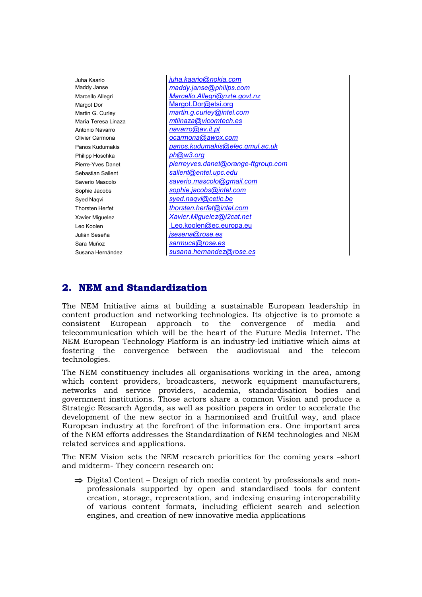Philipp Hoschka *ph@w3.org*

Juha Kaario *juha.kaario@nokia.com* Maddy Janse *maddy.janse@philips.com* Marcello Allegri *Marcello.Allegri@nzte.govt.nz* Margot Dor Margot.Dor@etsi.org Martin G. Curley *martin.g.curley@intel.com* María Teresa Linaza *mtlinaza@vicomtech.es* Antonio Navarro *navarro@av.it.pt* Olivier Carmona *ocarmona@awox.com* Panos Kudumakis *panos.kudumakis@elec.qmul.ac.uk* Pierre-Yves Danet *pierreyves.danet@orange-ftgroup.com* Sebastian Sallent *sallent@entel.upc.edu* Saverio Mascolo *saverio.mascolo@gmail.com* Sophie Jacobs *sophie.jacobs@intel.com* Syed Naqvi *syed.naqvi@cetic.be* Thorsten Herfet *thorsten.herfet@intel.com* Xavier Miguelez *Xavier.Miguelez@i2cat.net* Leo Koolen Leo.koolen@ec.europa.eu Julián Seseña *jsesena@rose.es* Sara Muñoz *sarmuca@rose.es* Susana Hernández *susana.hernandez@rose.es*

# **2. NEM and Standardization**

The NEM Initiative aims at building a sustainable European leadership in content production and networking technologies. Its objective is to promote a consistent European approach to the convergence of media and telecommunication which will be the heart of the Future Media Internet. The NEM European Technology Platform is an industry-led initiative which aims at fostering the convergence between the audiovisual and the telecom technologies.

The NEM constituency includes all organisations working in the area, among which content providers, broadcasters, network equipment manufacturers, networks and service providers, academia, standardisation bodies and government institutions. Those actors share a common Vision and produce a Strategic Research Agenda, as well as position papers in order to accelerate the development of the new sector in a harmonised and fruitful way, and place European industry at the forefront of the information era. One important area of the NEM efforts addresses the Standardization of NEM technologies and NEM related services and applications.

The NEM Vision sets the NEM research priorities for the coming years –short and midterm- They concern research on:

 $\Rightarrow$  Digital Content – Design of rich media content by professionals and nonprofessionals supported by open and standardised tools for content creation, storage, representation, and indexing ensuring interoperability of various content formats, including efficient search and selection engines, and creation of new innovative media applications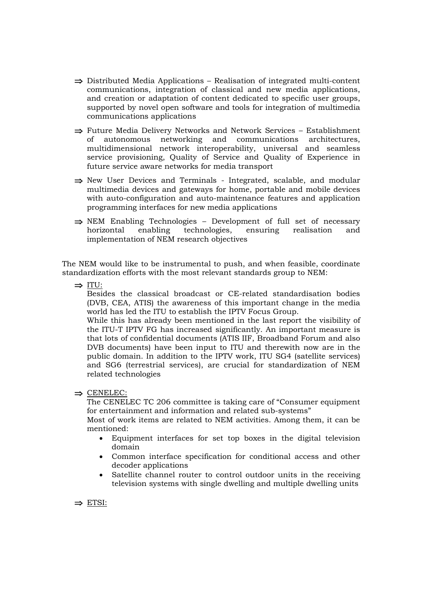- $\Rightarrow$  Distributed Media Applications Realisation of integrated multi-content communications, integration of classical and new media applications, and creation or adaptation of content dedicated to specific user groups, supported by novel open software and tools for integration of multimedia communications applications
- $\Rightarrow$  Future Media Delivery Networks and Network Services Establishment of autonomous networking and communications architectures, multidimensional network interoperability, universal and seamless service provisioning, Quality of Service and Quality of Experience in future service aware networks for media transport
- $\Rightarrow$  New User Devices and Terminals Integrated, scalable, and modular multimedia devices and gateways for home, portable and mobile devices with auto-configuration and auto-maintenance features and application programming interfaces for new media applications
- $\Rightarrow$  NEM Enabling Technologies Development of full set of necessary horizontal enabling technologies, ensuring realisation and implementation of NEM research objectives

The NEM would like to be instrumental to push, and when feasible, coordinate standardization efforts with the most relevant standards group to NEM:

 $\Rightarrow$  ITU:

Besides the classical broadcast or CE-related standardisation bodies (DVB, CEA, ATIS) the awareness of this important change in the media world has led the ITU to establish the IPTV Focus Group.

While this has already been mentioned in the last report the visibility of the ITU-T IPTV FG has increased significantly. An important measure is that lots of confidential documents (ATIS IIF, Broadband Forum and also DVB documents) have been input to ITU and therewith now are in the public domain. In addition to the IPTV work, ITU SG4 (satellite services) and SG6 (terrestrial services), are crucial for standardization of NEM related technologies

#### $\Rightarrow$  CENELEC:

The CENELEC TC 206 committee is taking care of "Consumer equipment for entertainment and information and related sub-systems"

Most of work items are related to NEM activities. Among them, it can be mentioned:

- Equipment interfaces for set top boxes in the digital television domain
- Common interface specification for conditional access and other decoder applications
- Satellite channel router to control outdoor units in the receiving television systems with single dwelling and multiple dwelling units

 $\Rightarrow$  ETSI: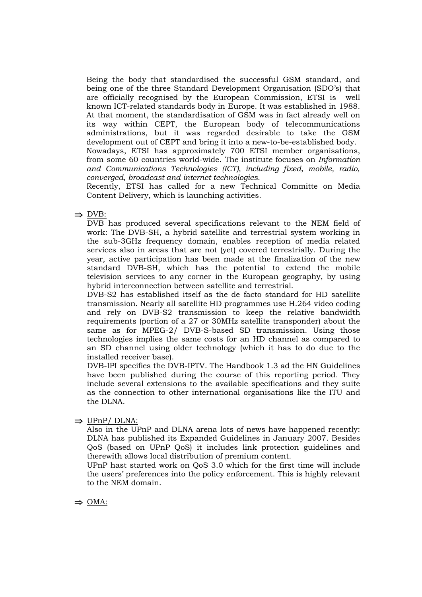Being the body that standardised the successful GSM standard, and being one of the three Standard Development Organisation (SDO's) that are officially recognised by the European Commission, ETSI is well known ICT-related standards body in Europe. It was established in 1988. At that moment, the standardisation of GSM was in fact already well on its way within CEPT, the European body of telecommunications administrations, but it was regarded desirable to take the GSM development out of CEPT and bring it into a new-to-be-established body. Nowadays, ETSI has approximately 700 ETSI member organisations,

from some 60 countries world-wide. The institute focuses on *Information and Communications Technologies (ICT), including fixed, mobile, radio, converged, broadcast and internet technologies*.

Recently, ETSI has called for a new Technical Committe on Media Content Delivery, which is launching activities.

 $\Rightarrow$  DVB:

DVB has produced several specifications relevant to the NEM field of work: The DVB-SH, a hybrid satellite and terrestrial system working in the sub-3GHz frequency domain, enables reception of media related services also in areas that are not (yet) covered terrestrially. During the year, active participation has been made at the finalization of the new standard DVB-SH, which has the potential to extend the mobile television services to any corner in the European geography, by using hybrid interconnection between satellite and terrestrial.

DVB-S2 has established itself as the de facto standard for HD satellite transmission. Nearly all satellite HD programmes use H.264 video coding and rely on DVB-S2 transmission to keep the relative bandwidth requirements (portion of a 27 or 30MHz satellite transponder) about the same as for MPEG-2/ DVB-S-based SD transmission. Using those technologies implies the same costs for an HD channel as compared to an SD channel using older technology (which it has to do due to the installed receiver base).

DVB-IPI specifies the DVB-IPTV. The Handbook 1.3 ad the HN Guidelines have been published during the course of this reporting period. They include several extensions to the available specifications and they suite as the connection to other international organisations like the ITU and the DLNA.

 $\Rightarrow$  UPnP/ DLNA:

Also in the UPnP and DLNA arena lots of news have happened recently: DLNA has published its Expanded Guidelines in January 2007. Besides QoS (based on UPnP QoS) it includes link protection guidelines and therewith allows local distribution of premium content.

UPnP hast started work on QoS 3.0 which for the first time will include the users' preferences into the policy enforcement. This is highly relevant to the NEM domain.

 $\Rightarrow$  OMA: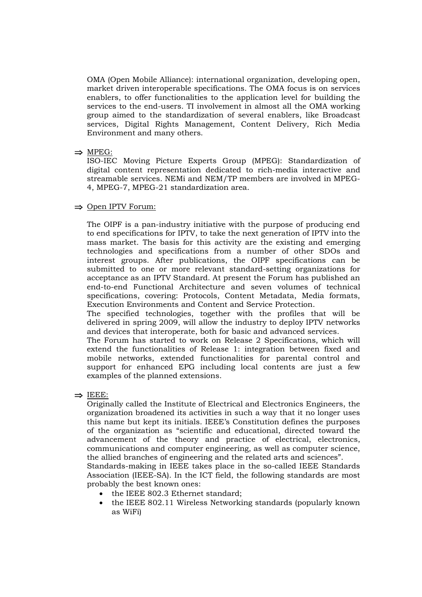OMA (Open Mobile Alliance): international organization, developing open, market driven interoperable specifications. The OMA focus is on services enablers, to offer functionalities to the application level for building the services to the end-users. TI involvement in almost all the OMA working group aimed to the standardization of several enablers, like Broadcast services, Digital Rights Management, Content Delivery, Rich Media Environment and many others.

#### $\Rightarrow$  MPEG:

ISO-IEC Moving Picture Experts Group (MPEG): Standardization of digital content representation dedicated to rich-media interactive and streamable services. NEMi and NEM/TP members are involved in MPEG-4, MPEG-7, MPEG-21 standardization area.

#### $\Rightarrow$  Open IPTV Forum:

The OIPF is a pan-industry initiative with the purpose of producing end to end specifications for IPTV, to take the next generation of IPTV into the mass market. The basis for this activity are the existing and emerging technologies and specifications from a number of other SDOs and interest groups. After publications, the OIPF specifications can be submitted to one or more relevant standard-setting organizations for acceptance as an IPTV Standard. At present the Forum has published an end-to-end Functional Architecture and seven volumes of technical specifications, covering: Protocols, Content Metadata, Media formats, Execution Environments and Content and Service Protection.

The specified technologies, together with the profiles that will be delivered in spring 2009, will allow the industry to deploy IPTV networks and devices that interoperate, both for basic and advanced services.

The Forum has started to work on Release 2 Specifications, which will extend the functionalities of Release 1: integration between fixed and mobile networks, extended functionalities for parental control and support for enhanced EPG including local contents are just a few examples of the planned extensions.

 $\Rightarrow$  IEEE:

Originally called the Institute of Electrical and Electronics Engineers, the organization broadened its activities in such a way that it no longer uses this name but kept its initials. IEEE's Constitution defines the purposes of the organization as "scientific and educational, directed toward the advancement of the theory and practice of electrical, electronics, communications and computer engineering, as well as computer science, the allied branches of engineering and the related arts and sciences".

Standards-making in IEEE takes place in the so-called IEEE Standards Association (IEEE-SA). In the ICT field, the following standards are most probably the best known ones:

- the IEEE 802.3 Ethernet standard:
- the IEEE 802.11 Wireless Networking standards (popularly known as WiFi)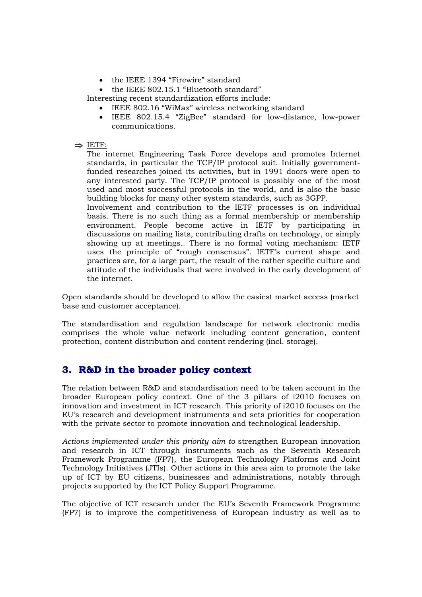- the IEEE 1394 "Firewire" standard
- the IEEE 802.15.1 "Bluetooth standard"

Interesting recent standardization efforts include:

- IEEE 802.16 "WiMax" wireless networking standard
- IEEE 802.15.4 "ZigBee" standard for low-distance, low-power communications.

#### $\Rightarrow$  IETF:

The internet Engineering Task Force develops and promotes Internet standards, in particular the TCP/IP protocol suit. Initially governmentfunded researches joined its activities, but in 1991 doors were open to any interested party. The TCP/IP protocol is possibly one of the most used and most successful protocols in the world, and is also the basic building blocks for many other system standards, such as 3GPP.

Involvement and contribution to the IETF processes is on individual basis. There is no such thing as a formal membership or membership environment. People become active in IETF by participating in discussions on mailing lists, contributing drafts on technology, or simply showing up at meetings.. There is no formal voting mechanism: IETF uses the principle of "rough consensus". IETF's current shape and practices are, for a large part, the result of the rather specific culture and attitude of the individuals that were involved in the early development of the internet.

Open standards should be developed to allow the easiest market access (market base and customer acceptance).

The standardisation and regulation landscape for network electronic media comprises the whole value network including content generation, content protection, content distribution and content rendering (incl. storage).

# **3. R&D in the broader policy context**

The relation between R&D and standardisation need to be taken account in the broader European policy context. One of the 3 pillars of i2010 focuses on innovation and investment in ICT research. This priority of i2010 focuses on the EU's research and development instruments and sets priorities for cooperation with the private sector to promote innovation and technological leadership.

*Actions implemented under this priority aim to* strengthen European innovation and research in ICT through instruments such as the Seventh Research Framework Programme (FP7), the European Technology Platforms and Joint Technology Initiatives (JTIs). Other actions in this area aim to promote the take up of ICT by EU citizens, businesses and administrations, notably through projects supported by the ICT Policy Support Programme.

The objective of ICT research under the EU's Seventh Framework Programme (FP7) is to improve the competitiveness of European industry as well as to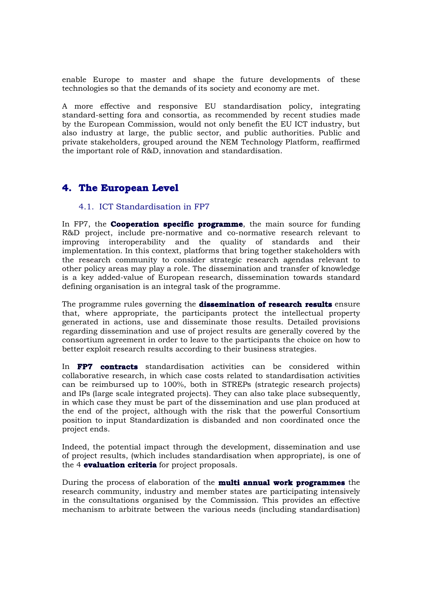enable Europe to master and shape the future developments of these technologies so that the demands of its society and economy are met.

A more effective and responsive EU standardisation policy, integrating standard-setting fora and consortia, as recommended by recent studies made by the European Commission, would not only benefit the EU ICT industry, but also industry at large, the public sector, and public authorities. Public and private stakeholders, grouped around the NEM Technology Platform, reaffirmed the important role of R&D, innovation and standardisation.

## **4. The European Level**

#### 4.1. ICT Standardisation in FP7

In FP7, the **Cooperation specific programme**, the main source for funding R&D project, include pre-normative and co-normative research relevant to improving interoperability and the quality of standards and their implementation. In this context, platforms that bring together stakeholders with the research community to consider strategic research agendas relevant to other policy areas may play a role. The dissemination and transfer of knowledge is a key added-value of European research, dissemination towards standard defining organisation is an integral task of the programme.

The programme rules governing the **dissemination of research results** ensure that, where appropriate, the participants protect the intellectual property generated in actions, use and disseminate those results. Detailed provisions regarding dissemination and use of project results are generally covered by the consortium agreement in order to leave to the participants the choice on how to better exploit research results according to their business strategies.

In **FP7 contracts** standardisation activities can be considered within collaborative research, in which case costs related to standardisation activities can be reimbursed up to 100%, both in STREPs (strategic research projects) and IPs (large scale integrated projects). They can also take place subsequently, in which case they must be part of the dissemination and use plan produced at the end of the project, although with the risk that the powerful Consortium position to input Standardization is disbanded and non coordinated once the project ends.

Indeed, the potential impact through the development, dissemination and use of project results, (which includes standardisation when appropriate), is one of the 4 **evaluation criteria** for project proposals.

During the process of elaboration of the **multi annual work programmes** the research community, industry and member states are participating intensively in the consultations organised by the Commission. This provides an effective mechanism to arbitrate between the various needs (including standardisation)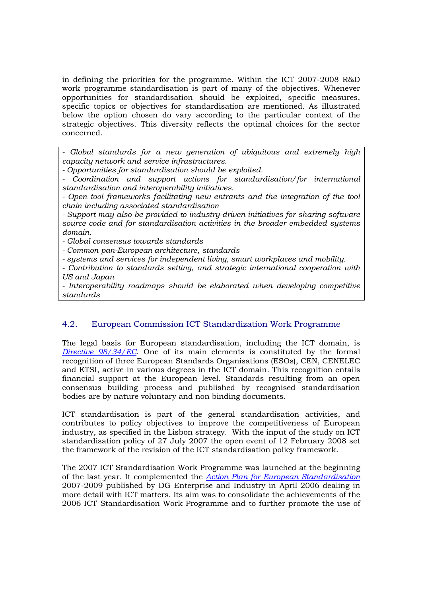in defining the priorities for the programme. Within the ICT 2007-2008 R&D work programme standardisation is part of many of the objectives. Whenever opportunities for standardisation should be exploited, specific measures, specific topics or objectives for standardisation are mentioned. As illustrated below the option chosen do vary according to the particular context of the strategic objectives. This diversity reflects the optimal choices for the sector concerned.

*- Global standards for a new generation of ubiquitous and extremely high capacity network and service infrastructures.*

*- Opportunities for standardisation should be exploited.*

*- Coordination and support actions for standardisation/for international standardisation and interoperability initiatives.*

*- Open tool frameworks facilitating new entrants and the integration of the tool chain including associated standardisation*

*- Support may also be provided to industry-driven initiatives for sharing software source code and for standardisation activities in the broader embedded systems domain.*

*- Global consensus towards standards*

*- Common pan-European architecture, standards*

*- systems and services for independent living, smart workplaces and mobility.*

*- Contribution to standards setting, and strategic international cooperation with US and Japan*

*- Interoperability roadmaps should be elaborated when developing competitive standards*

#### 4.2. European Commission ICT Standardization Work Programme

The legal basis for European standardisation, including the ICT domain, is *Directive 98/34/EC*. One of its main elements is constituted by the formal recognition of three European Standards Organisations (ESOs), CEN, CENELEC and ETSI, active in various degrees in the ICT domain. This recognition entails financial support at the European level. Standards resulting from an open consensus building process and published by recognised standardisation bodies are by nature voluntary and non binding documents.

ICT standardisation is part of the general standardisation activities, and contributes to policy objectives to improve the competitiveness of European industry, as specified in the Lisbon strategy. With the input of the study on ICT standardisation policy of 27 July 2007 the open event of 12 February 2008 set the framework of the revision of the ICT standardisation policy framework.

The 2007 ICT Standardisation Work Programme was launched at the beginning of the last year. It complemented the *Action Plan for European Standardisation* 2007-2009 published by DG Enterprise and Industry in April 2006 dealing in more detail with ICT matters. Its aim was to consolidate the achievements of the 2006 ICT Standardisation Work Programme and to further promote the use of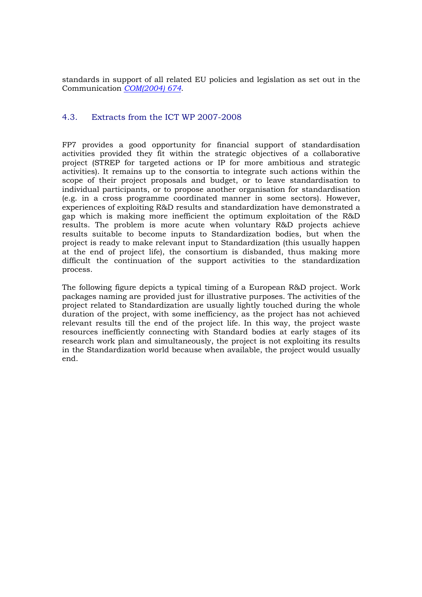standards in support of all related EU policies and legislation as set out in the Communication *COM(2004) 674*.

#### 4.3. Extracts from the ICT WP 2007-2008

FP7 provides a good opportunity for financial support of standardisation activities provided they fit within the strategic objectives of a collaborative project (STREP for targeted actions or IP for more ambitious and strategic activities). It remains up to the consortia to integrate such actions within the scope of their project proposals and budget, or to leave standardisation to individual participants, or to propose another organisation for standardisation (e.g. in a cross programme coordinated manner in some sectors). However, experiences of exploiting R&D results and standardization have demonstrated a gap which is making more inefficient the optimum exploitation of the R&D results. The problem is more acute when voluntary R&D projects achieve results suitable to become inputs to Standardization bodies, but when the project is ready to make relevant input to Standardization (this usually happen at the end of project life), the consortium is disbanded, thus making more difficult the continuation of the support activities to the standardization process.

The following figure depicts a typical timing of a European R&D project. Work packages naming are provided just for illustrative purposes. The activities of the project related to Standardization are usually lightly touched during the whole duration of the project, with some inefficiency, as the project has not achieved relevant results till the end of the project life. In this way, the project waste resources inefficiently connecting with Standard bodies at early stages of its research work plan and simultaneously, the project is not exploiting its results in the Standardization world because when available, the project would usually end.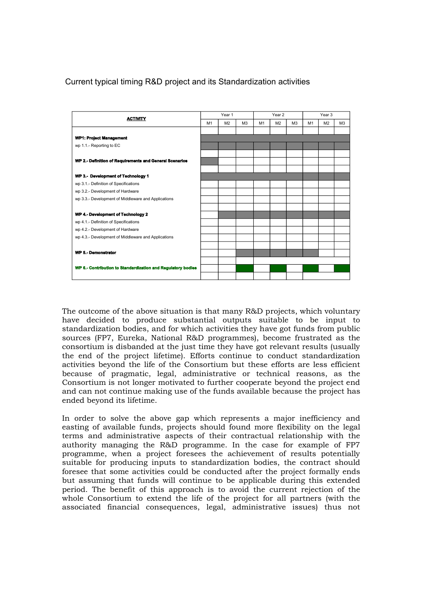### Current typical timing R&D project and its Standardization activities



The outcome of the above situation is that many R&D projects, which voluntary have decided to produce substantial outputs suitable to be input to standardization bodies, and for which activities they have got funds from public sources (FP7, Eureka, National R&D programmes), become frustrated as the consortium is disbanded at the just time they have got relevant results (usually the end of the project lifetime). Efforts continue to conduct standardization activities beyond the life of the Consortium but these efforts are less efficient because of pragmatic, legal, administrative or technical reasons, as the Consortium is not longer motivated to further cooperate beyond the project end and can not continue making use of the funds available because the project has ended beyond its lifetime.

In order to solve the above gap which represents a major inefficiency and easting of available funds, projects should found more flexibility on the legal terms and administrative aspects of their contractual relationship with the authority managing the R&D programme. In the case for example of FP7 programme, when a project foresees the achievement of results potentially suitable for producing inputs to standardization bodies, the contract should foresee that some activities could be conducted after the project formally ends but assuming that funds will continue to be applicable during this extended period. The benefit of this approach is to avoid the current rejection of the whole Consortium to extend the life of the project for all partners (with the associated financial consequences, legal, administrative issues) thus not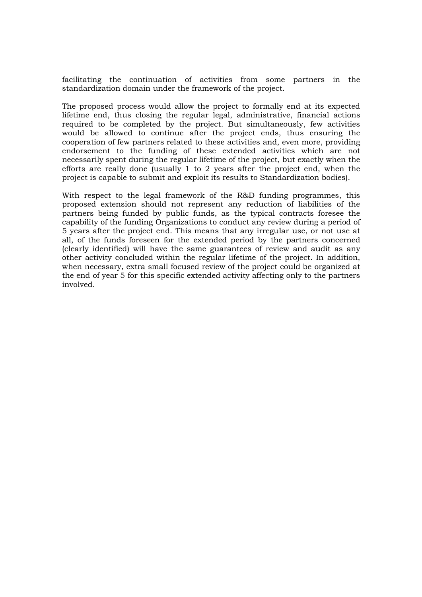facilitating the continuation of activities from some partners in the standardization domain under the framework of the project.

The proposed process would allow the project to formally end at its expected lifetime end, thus closing the regular legal, administrative, financial actions required to be completed by the project. But simultaneously, few activities would be allowed to continue after the project ends, thus ensuring the cooperation of few partners related to these activities and, even more, providing endorsement to the funding of these extended activities which are not necessarily spent during the regular lifetime of the project, but exactly when the efforts are really done (usually 1 to 2 years after the project end, when the project is capable to submit and exploit its results to Standardization bodies).

With respect to the legal framework of the R&D funding programmes, this proposed extension should not represent any reduction of liabilities of the partners being funded by public funds, as the typical contracts foresee the capability of the funding Organizations to conduct any review during a period of 5 years after the project end. This means that any irregular use, or not use at all, of the funds foreseen for the extended period by the partners concerned (clearly identified) will have the same guarantees of review and audit as any other activity concluded within the regular lifetime of the project. In addition, when necessary, extra small focused review of the project could be organized at the end of year 5 for this specific extended activity affecting only to the partners involved.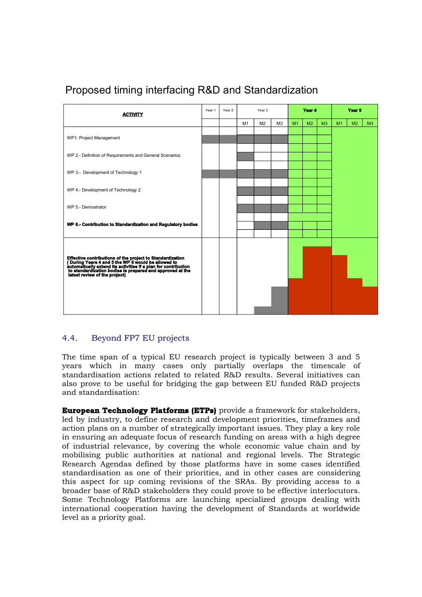

# Proposed timing interfacing R&D and Standardization

### 4.4. Beyond FP7 EU projects

The time span of a typical EU research project is typically between 3 and 5 years which in many cases only partially overlaps the timescale of standardisation actions related to related R&D results. Several initiatives can also prove to be useful for bridging the gap between EU funded R&D projects and standardisation:

**European Technology Platforms (ETPs)** provide a framework for stakeholders, led by industry, to define research and development priorities, timeframes and action plans on a number of strategically important issues. They play a key role in ensuring an adequate focus of research funding on areas with a high degree of industrial relevance, by covering the whole economic value chain and by mobilising public authorities at national and regional levels. The Strategic Research Agendas defined by those platforms have in some cases identified standardisation as one of their priorities, and in other cases are considering this aspect for up coming revisions of the SRAs. By providing access to a broader base of R&D stakeholders they could prove to be effective interlocutors. Some Technology Platforms are launching specialized groups dealing with international cooperation having the development of Standards at worldwide level as a priority goal.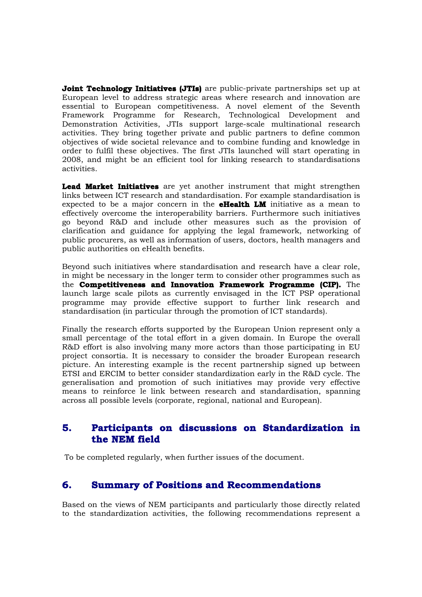**Joint Technology Initiatives (JTIs)** are public-private partnerships set up at European level to address strategic areas where research and innovation are essential to European competitiveness. A novel element of the Seventh Framework Programme for Research, Technological Development and Demonstration Activities, JTIs support large-scale multinational research activities. They bring together private and public partners to define common objectives of wide societal relevance and to combine funding and knowledge in order to fulfil these objectives. The first JTIs launched will start operating in 2008, and might be an efficient tool for linking research to standardisations activities.

**Lead Market Initiatives** are yet another instrument that might strengthen links between ICT research and standardisation. For example standardisation is expected to be a major concern in the **eHealth LM** initiative as a mean to effectively overcome the interoperability barriers. Furthermore such initiatives go beyond R&D and include other measures such as the provision of clarification and guidance for applying the legal framework, networking of public procurers, as well as information of users, doctors, health managers and public authorities on eHealth benefits.

Beyond such initiatives where standardisation and research have a clear role, in might be necessary in the longer term to consider other programmes such as the **Competitiveness and Innovation Framework Programme (CIP).** The launch large scale pilots as currently envisaged in the ICT PSP operational programme may provide effective support to further link research and standardisation (in particular through the promotion of ICT standards).

Finally the research efforts supported by the European Union represent only a small percentage of the total effort in a given domain. In Europe the overall R&D effort is also involving many more actors than those participating in EU project consortia. It is necessary to consider the broader European research picture. An interesting example is the recent partnership signed up between ETSI and ERCIM to better consider standardization early in the R&D cycle. The generalisation and promotion of such initiatives may provide very effective means to reinforce le link between research and standardisation, spanning across all possible levels (corporate, regional, national and European).

## **5. Participants on discussions on Standardization in the NEM field**

To be completed regularly, when further issues of the document.

# **6. Summary of Positions and Recommendations**

Based on the views of NEM participants and particularly those directly related to the standardization activities, the following recommendations represent a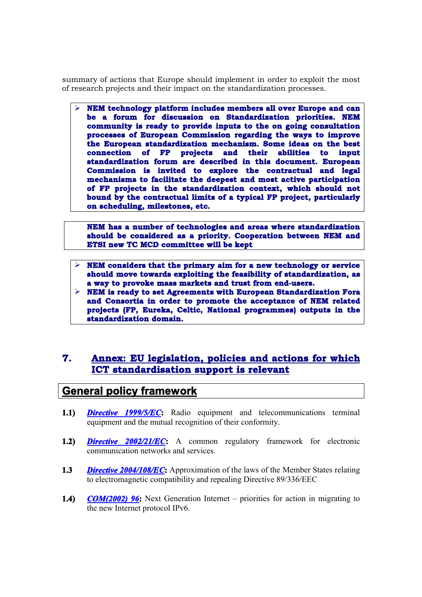summary of actions that Europe should implement in order to exploit the most of research projects and their impact on the standardization processes.

 **NEM technology platform includes members all over Europe and can be a forum for discussion on Standardization priorities. NEM community is ready to provide inputs to the on going consultation processes of European Commission regarding the ways to improve the European standardization mechanism. Some ideas on the best connection of FP projects and their abilities to input standardization forum are described in this document. European Commission is invited to explore the contractual and legal mechanisms to facilitate the deepest and most active participation of FP projects in the standardization context, which should not bound by the contractual limits of a typical FP project, particularly on scheduling, milestones, etc.**

**NEM has a number of technologies and areas where standardization should be considered as a priority. Cooperation between NEM and ETSI new TC MCD committee will be kept**

- **NEM considers that the primary aim for a new technology or service should move towards exploiting the feasibility of standardization, as a way to provoke mass markets and trust from end-users.**
- **NEM is ready to set Agreements with European Standardization Fora and Consortia in order to promote the acceptance of NEM related projects (FP, Eureka, Celtic, National programmes) outputs in the standardization domain.**

## **7. Annex: EU legislation, policies and actions for which ICT standardisation support is relevant**

# **General policy framework**

- **1.1)** *Directive 1999/5/EC***:** Radio equipment and telecommunications terminal equipment and the mutual recognition of their conformity.
- **1.2)** *Directive 2002/21/EC***:** A common regulatory framework for electronic communication networks and services.
- **1.3** *Directive 2004/108/EC***:** Approximation of the laws of the Member States relating to electromagnetic compatibility and repealing Directive 89/336/EEC
- **1.4)** *COM(2002) 96***:** Next Generation Internet priorities for action in migrating to the new Internet protocol IPv6.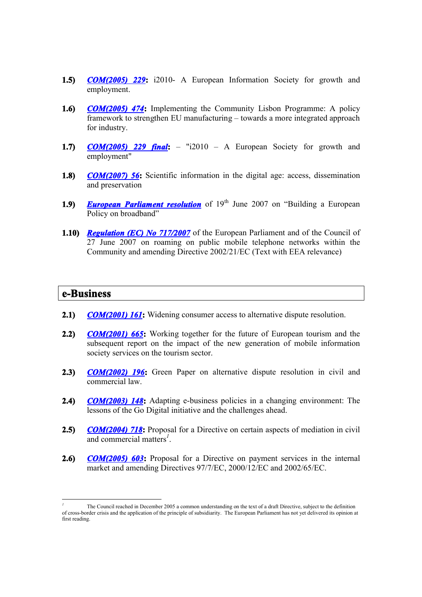- **1.5)** *COM(2005) 229***:** i2010- A European Information Society for growth and employment.
- **1.6)** *COM(2005) 474***:** Implementing the Community Lisbon Programme: A policy framework to strengthen EU manufacturing – towards a more integrated approach for industry.
- **1.7)** *COM(2005) 229 final***:** "i2010 A European Society for growth and employment"
- **1.8)** *COM(2007)* **56:** Scientific information in the digital age: access, dissemination and preservation
- **1.9)** *European Parliament resolution* of 19<sup>th</sup> June 2007 on "Building a European Policy on broadband"
- **1.10)** *Regulation (EC) No 717/2007* of the European Parliament and of the Council of 27 June 2007 on roaming on public mobile telephone networks within the Community and amending Directive 2002/21/EC (Text with EEA relevance)

### **e-Business**

-

- **2.1)** *COM(2001) 161***:** Widening consumer access to alternative dispute resolution.
- **2.2)** *COM(2001) 665***:** Working together for the future of European tourism and the subsequent report on the impact of the new generation of mobile information society services on the tourism sector.
- **2.3)** *COM(2002) 196***:** Green Paper on alternative dispute resolution in civil and commercial law.
- **2.4)** *COM(2003) 148***:** Adapting e-business policies in a changing environment: The lessons of the Go Digital initiative and the challenges ahead.
- **2.5)** *COM(2004) 718***:** Proposal for a Directive on certain aspects of mediation in civil and commercial matters*<sup>1</sup>* .
- **2.6)** *COM(2005) 603***:** Proposal for a Directive on payment services in the internal market and amending Directives 97/7/EC, 2000/12/EC and 2002/65/EC.

*<sup>1</sup>* The Council reached in December 2005 a common understanding on the text of a draft Directive, subject to the definition of cross-border crisis and the application of the principle of subsidiarity. The European Parliament has not yet delivered its opinion at first reading.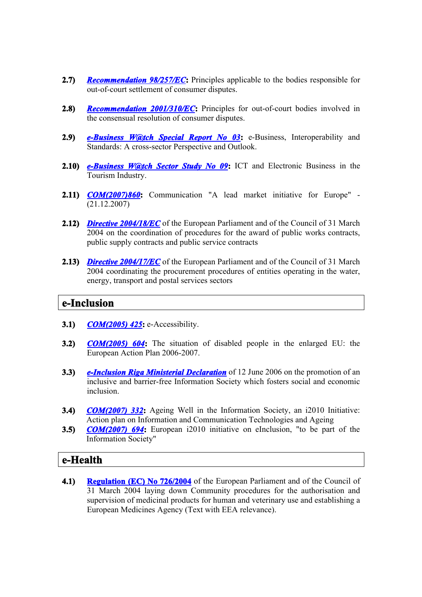- **2.7)** *Recommendation 98/257/EC***:** Principles applicable to the bodies responsible for out-of-court settlement of consumer disputes.
- **2.8)** *Recommendation 2001/310/EC***:** Principles for out-of-court bodies involved in the consensual resolution of consumer disputes.
- **2.9)** *e-Business W@tch Special Report No 03***:** e-Business, Interoperability and Standards: A cross-sector Perspective and Outlook.
- **2.10)** *e-Business W@tch Sector Study No 09***:** ICT and Electronic Business in the Tourism Industry.
- **2.11)** *COM(2007)860***:** Communication "A lead market initiative for Europe" (21.12.2007)
- **2.12)** *Directive 2004/18/EC* of the European Parliament and of the Council of 31 March 2004 on the coordination of procedures for the award of public works contracts, public supply contracts and public service contracts
- **2.13)** *Directive 2004/17/EC* of the European Parliament and of the Council of 31 March 2004 coordinating the procurement procedures of entities operating in the water, energy, transport and postal services sectors

## **e-Inclusion**

- **3.1)** *COM(2005) 425***:** e-Accessibility.
- **3.2)** *COM(2005) 604***:** The situation of disabled people in the enlarged EU: the European Action Plan 2006-2007.
- **3.3)** *e-Inclusion Riga Ministerial Declaration* of 12 June 2006 on the promotion of an inclusive and barrier-free Information Society which fosters social and economic inclusion.
- **3.4)** *COM(2007) 332***:** Ageing Well in the Information Society, an i2010 Initiative: Action plan on Information and Communication Technologies and Ageing
- **3.5)** *COM(2007) 694***:** European i2010 initiative on eInclusion, "to be part of the Information Society"

# **e-Health**

**4.1) Regulation (EC) No 726/2004** of the European Parliament and of the Council of 31 March 2004 laying down Community procedures for the authorisation and supervision of medicinal products for human and veterinary use and establishing a European Medicines Agency (Text with EEA relevance).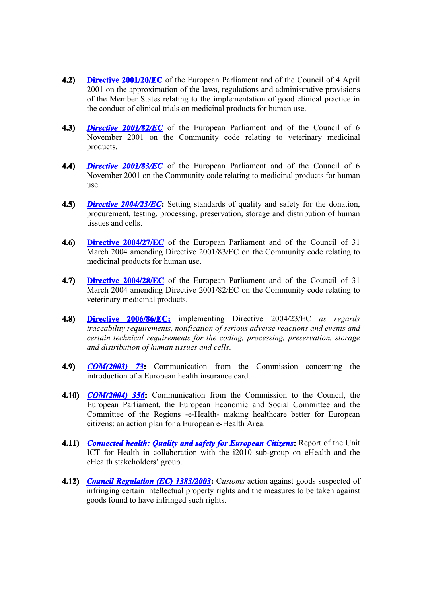- **4.2) Directive 2001/20/EC** of the European Parliament and of the Council of 4 April 2001 on the approximation of the laws, regulations and administrative provisions of the Member States relating to the implementation of good clinical practice in the conduct of clinical trials on medicinal products for human use.
- **4.3)** *Directive 2001/82/EC* of the European Parliament and of the Council of 6 November 2001 on the Community code relating to veterinary medicinal products.
- **4.4)** *Directive 2001/83/EC* of the European Parliament and of the Council of 6 November 2001 on the Community code relating to medicinal products for human use.
- **4.5)** *Directive 2004/23/EC***:** Setting standards of quality and safety for the donation, procurement, testing, processing, preservation, storage and distribution of human tissues and cells.
- **4.6) Directive 2004/27/EC** of the European Parliament and of the Council of 31 March 2004 amending Directive 2001/83/EC on the Community code relating to medicinal products for human use.
- **4.7) Directive 2004/28/EC** of the European Parliament and of the Council of 31 March 2004 amending Directive 2001/82/EC on the Community code relating to veterinary medicinal products.
- **4.8) Directive 2006/86/EC:** implementing Directive 2004/23/EC *as regards traceability requirements, notification of serious adverse reactions and events and certain technical requirements for the coding, processing, preservation, storage and distribution of human tissues and cells*.
- **4.9)** *COM(2003) 73***:** Communication from the Commission concerning the introduction of a European health insurance card.
- **4.10)** *COM(2004) 356***:** Communication from the Commission to the Council, the European Parliament, the European Economic and Social Committee and the Committee of the Regions -e-Health- making healthcare better for European citizens: an action plan for a European e-Health Area.
- **4.11)** *Connected health: Quality and safety for European Citizens***:** Report of the Unit ICT for Health in collaboration with the i2010 sub-group on eHealth and the eHealth stakeholders' group.
- **4.12)** *Council Regulation (EC) 1383/2003***:** Customs action against goods suspected of infringing certain intellectual property rights and the measures to be taken against goods found to have infringed such rights.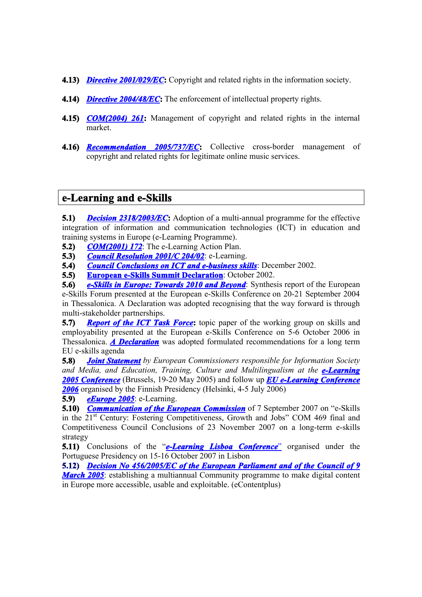- **4.13)** *Directive 2001/029/EC***:** Copyright and related rights in the information society.
- **4.14)** *Directive 2004/48/EC***:** The enforcement of intellectual property rights.
- **4.15)** *COM(2004) 261***:** Management of copyright and related rights in the internal market.
- **4.16)** *Recommendation 2005/737/EC***:** Collective cross-border management of copyright and related rights for legitimate online music services.

## **e-Learning and e-Skills**

**5.1)** *Decision 2318/2003/EC*: Adoption of a multi-annual programme for the effective integration of information and communication technologies (ICT) in education and training systems in Europe (e-Learning Programme).

- **5.2)** *COM(2001) 172*: The e-Learning Action Plan.
- **5.3)** *Council Resolution 2001/C 204/02*: e-Learning.
- **5.4)** *Council Conclusions on ICT and e-business skills*: December 2002.
- **5.5) European e-Skills Summit Declaration**: October 2002.

**5.6)** *e-Skills in Europe: Towards 2010 and Beyond*: Synthesis report of the European e-Skills Forum presented at the European e-Skills Conference on 20-21 September 2004 in Thessalonica. A Declaration was adopted recognising that the way forward is through multi-stakeholder partnerships.

**5.7)** *Report of the ICT Task Force*: topic paper of the working group on skills and employability presented at the European e-Skills Conference on 5-6 October 2006 in Thessalonica. *A Declaration* was adopted formulated recommendations for a long term EU e-skills agenda

**5.8)** *Joint Statement by European Commissioners responsible for Information Society and Media, and Education, Training, Culture and Multilingualism at the e-Learning 2005 Conference* (Brussels, 19-20 May 2005) and follow up *EU e-Learning Conference 2006* organised by the Finnish Presidency (Helsinki, 4-5 July 2006)

**5.9)** *eEurope 2005*: e-Learning.

**5.10)** *Communication of the European Commission* of 7 September 2007 on "e-Skills" in the 21st Century: Fostering Competitiveness, Growth and Jobs" COM 469 final and Competitiveness Council Conclusions of 23 November 2007 on a long-term e-skills strategy

**5.11)** Conclusions of the "*e-Learning Lisboa Conference*" organised under the Portuguese Presidency on 15-16 October 2007 in Lisbon

**5.12)** *Decision No 456/2005/EC of the European Parliament and of the Council of 9 March 2005*: establishing a multiannual Community programme to make digital content in Europe more accessible, usable and exploitable. (eContentplus)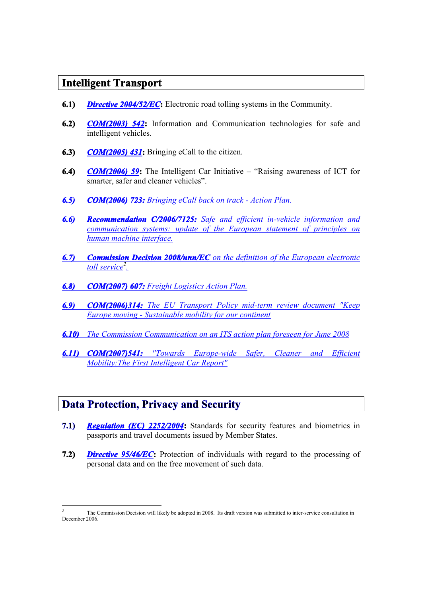# **Intelligent Transport**

- **6.1)** *Directive 2004/52/EC*: Electronic road tolling systems in the Community.
- **6.2)** *COM(2003) 542***:** Information and Communication technologies for safe and intelligent vehicles.
- **6.3)** *COM(2005) 431***:** Bringing eCall to the citizen.
- **6.4)** *COM(2006) 59***:** The Intelligent Car Initiative "Raising awareness of ICT for smarter, safer and cleaner vehicles".
- *6.5) COM(2006) 723: Bringing eCall back on track Action Plan.*
- *6.6) Recommendation C/2006/7125: Safe and efficient in-vehicle information and communication systems: update of the European statement of principles on human machine interface.*
- *6.7) Commission Decision 2008/nnn/EC on the definition of the European electronic toll service<sup>2</sup> .*
- *6.8) COM(2007) 607: Freight Logistics Action Plan.*
- *6.9) COM(2006)314: The EU Transport Policy mid-term review document "Keep Europe moving - Sustainable mobility for our continent*
- *6.10) The Commission Communication on an ITS action plan foreseen for June 2008*
- *6.11) COM(2007)541: "Towards Europe-wide Safer, Cleaner and Efficient Mobility:The First Intelligent Car Report"*

# **Data Protection, Privacy and Security**

-

- **7.1)** *Regulation (EC) 2252/2004***:** Standards for security features and biometrics in passports and travel documents issued by Member States.
- **7.2)** *Directive 95/46/EC***:** Protection of individuals with regard to the processing of personal data and on the free movement of such data.

*<sup>2</sup>* The Commission Decision will likely be adopted in 2008. Its draft version was submitted to inter-service consultation in December 2006.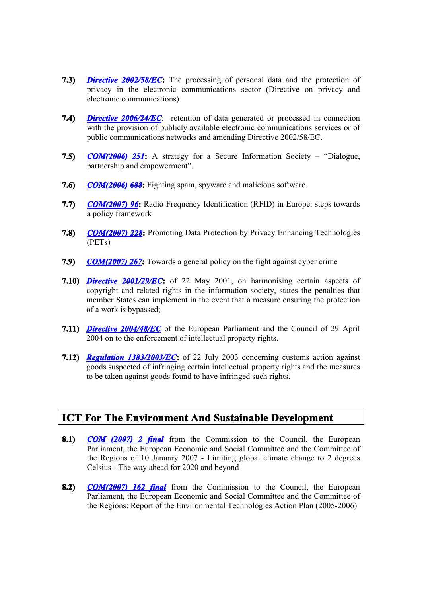- **7.3)** *Directive 2002/58/EC***:** The processing of personal data and the protection of privacy in the electronic communications sector (Directive on privacy and electronic communications).
- **7.4)** *Directive 2006/24/EC*: retention of data generated or processed in connection with the provision of publicly available electronic communications services or of public communications networks and amending Directive 2002/58/EC.
- **7.5)** *COM(2006) 251***:** A strategy for a Secure Information Society "Dialogue, partnership and empowerment".
- **7.6)** *COM(2006) 688***:** Fighting spam, spyware and malicious software.
- **7.7)** *COM(2007) 96***:** Radio Frequency Identification (RFID) in Europe: steps towards a policy framework
- **7.8)** *COM(2007) 228***:** Promoting Data Protection by Privacy Enhancing Technologies (PETs)
- **7.9)** *COM(2007) 267***:** Towards a general policy on the fight against cyber crime
- **7.10)** *Directive 2001/29/EC***:** of 22 May 2001, on harmonising certain aspects of copyright and related rights in the information society, states the penalties that member States can implement in the event that a measure ensuring the protection of a work is bypassed;
- **7.11)** *Directive 2004/48/EC* of the European Parliament and the Council of 29 April 2004 on to the enforcement of intellectual property rights.
- **7.12)** *Regulation 1383/2003/EC***:** of 22 July 2003 concerning customs action against goods suspected of infringing certain intellectual property rights and the measures to be taken against goods found to have infringed such rights.

# **ICT For The Environment And Sustainable Development**

- **8.1)** *COM (2007) 2 final* from the Commission to the Council, the European Parliament, the European Economic and Social Committee and the Committee of the Regions of 10 January 2007 - Limiting global climate change to 2 degrees Celsius - The way ahead for 2020 and beyond
- **8.2)** *COM(2007) 162 final* from the Commission to the Council, the European Parliament, the European Economic and Social Committee and the Committee of the Regions: Report of the Environmental Technologies Action Plan (2005-2006)